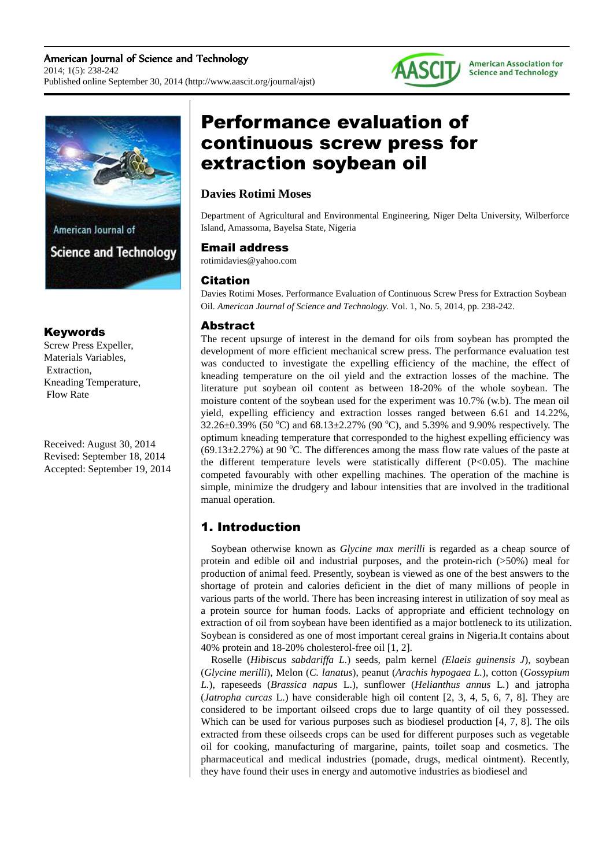



### Keywords

Screw Press Expeller, Materials Variables, Extraction, Kneading Temperature, Flow Rate

Received: August 30, 2014 Revised: September 18, 2014 Accepted: September 19, 2014

# Performance evaluation of continuous screw press for extraction soybean oil

## **Davies Rotimi Moses**

Department of Agricultural and Environmental Engineering, Niger Delta University, Wilberforce Island, Amassoma, Bayelsa State, Nigeria

### Email address

rotimidavies@yahoo.com

### Citation

Davies Rotimi Moses. Performance Evaluation of Continuous Screw Press for Extraction Soybean Oil. *American Journal of Science and Technology.* Vol. 1, No. 5, 2014, pp. 238-242.

### Abstract

The recent upsurge of interest in the demand for oils from soybean has prompted the development of more efficient mechanical screw press. The performance evaluation test was conducted to investigate the expelling efficiency of the machine, the effect of kneading temperature on the oil yield and the extraction losses of the machine. The literature put soybean oil content as between 18-20% of the whole soybean. The moisture content of the soybean used for the experiment was 10.7% (w.b). The mean oil yield, expelling efficiency and extraction losses ranged between 6.61 and 14.22%,  $32.26\pm0.39\%$  (50 °C) and  $68.13\pm2.27\%$  (90 °C), and 5.39% and 9.90% respectively. The optimum kneading temperature that corresponded to the highest expelling efficiency was  $(69.13\pm2.27\%)$  at 90 °C. The differences among the mass flow rate values of the paste at the different temperature levels were statistically different  $(P<0.05)$ . The machine competed favourably with other expelling machines. The operation of the machine is simple, minimize the drudgery and labour intensities that are involved in the traditional manual operation.

# 1. Introduction

Soybean otherwise known as *Glycine max merilli* is regarded as a cheap source of protein and edible oil and industrial purposes, and the protein-rich (>50%) meal for production of animal feed. Presently, soybean is viewed as one of the best answers to the shortage of protein and calories deficient in the diet of many millions of people in various parts of the world. There has been increasing interest in utilization of soy meal as a protein source for human foods. Lacks of appropriate and efficient technology on extraction of oil from soybean have been identified as a major bottleneck to its utilization. Soybean is considered as one of most important cereal grains in Nigeria.It contains about 40% protein and 18-20% cholesterol-free oil [1, 2].

Roselle (*Hibiscus sabdariffa L.*) seeds, palm kernel *(Elaeis guinensis J*), soybean (*Glycine merilli*), Melon (*C. lanatus*), peanut (*Arachis hypogaea L.*), cotton (*Gossypium L.*), rapeseeds (*Brassica napus* L.), sunflower (*Helianthus annus* L*.*) and jatropha (*Jatropha curcas* L.) have considerable high oil content [2, 3, 4, 5, 6, 7, 8]. They are considered to be important oilseed crops due to large quantity of oil they possessed. Which can be used for various purposes such as biodiesel production [4, 7, 8]. The oils extracted from these oilseeds crops can be used for different purposes such as vegetable oil for cooking, manufacturing of margarine, paints, toilet soap and cosmetics. The pharmaceutical and medical industries (pomade, drugs, medical ointment). Recently, they have found their uses in energy and automotive industries as biodiesel and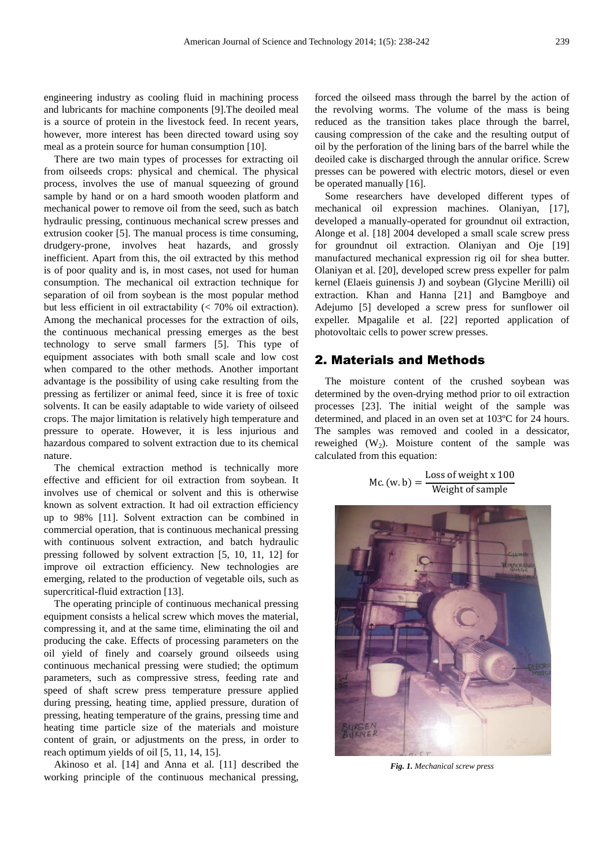engineering industry as cooling fluid in machining process and lubricants for machine components [9].The deoiled meal is a source of protein in the livestock feed. In recent years, however, more interest has been directed toward using soy meal as a protein source for human consumption [10].

There are two main types of processes for extracting oil from oilseeds crops: physical and chemical. The physical process, involves the use of manual squeezing of ground sample by hand or on a hard smooth wooden platform and mechanical power to remove oil from the seed, such as batch hydraulic pressing, continuous mechanical screw presses and extrusion cooker [5]. The manual process is time consuming, drudgery-prone, involves heat hazards, and grossly inefficient. Apart from this, the oil extracted by this method is of poor quality and is, in most cases, not used for human consumption. The mechanical oil extraction technique for separation of oil from soybean is the most popular method but less efficient in oil extractability (< 70% oil extraction). Among the mechanical processes for the extraction of oils, the continuous mechanical pressing emerges as the best technology to serve small farmers [5]. This type of equipment associates with both small scale and low cost when compared to the other methods. Another important advantage is the possibility of using cake resulting from the pressing as fertilizer or animal feed, since it is free of toxic solvents. It can be easily adaptable to wide variety of oilseed crops. The major limitation is relatively high temperature and pressure to operate. However, it is less injurious and hazardous compared to solvent extraction due to its chemical nature.

The chemical extraction method is technically more effective and efficient for oil extraction from soybean. It involves use of chemical or solvent and this is otherwise known as solvent extraction. It had oil extraction efficiency up to 98% [11]. Solvent extraction can be combined in commercial operation, that is continuous mechanical pressing with continuous solvent extraction, and batch hydraulic pressing followed by solvent extraction [5, 10, 11, 12] for improve oil extraction efficiency. New technologies are emerging, related to the production of vegetable oils, such as supercritical-fluid extraction [13].

The operating principle of continuous mechanical pressing equipment consists a helical screw which moves the material, compressing it, and at the same time, eliminating the oil and producing the cake. Effects of processing parameters on the oil yield of finely and coarsely ground oilseeds using continuous mechanical pressing were studied; the optimum parameters, such as compressive stress, feeding rate and speed of shaft screw press temperature pressure applied during pressing, heating time, applied pressure, duration of pressing, heating temperature of the grains, pressing time and heating time particle size of the materials and moisture content of grain, or adjustments on the press, in order to reach optimum yields of oil [5, 11, 14, 15].

Akinoso et al. [14] and Anna et al. [11] described the working principle of the continuous mechanical pressing,

forced the oilseed mass through the barrel by the action of the revolving worms. The volume of the mass is being reduced as the transition takes place through the barrel, causing compression of the cake and the resulting output of oil by the perforation of the lining bars of the barrel while the deoiled cake is discharged through the annular orifice. Screw presses can be powered with electric motors, diesel or even be operated manually [16].

Some researchers have developed different types of mechanical oil expression machines. Olaniyan, [17], developed a manually-operated for groundnut oil extraction, Alonge et al. [18] 2004 developed a small scale screw press for groundnut oil extraction. Olaniyan and Oje [19] manufactured mechanical expression rig oil for shea butter. Olaniyan et al. [20], developed screw press expeller for palm kernel (Elaeis guinensis J) and soybean (Glycine Merilli) oil extraction. Khan and Hanna [21] and Bamgboye and Adejumo [5] developed a screw press for sunflower oil expeller. Mpagalile et al. [22] reported application of photovoltaic cells to power screw presses.

### 2. Materials and Methods

The moisture content of the crushed soybean was determined by the oven-drying method prior to oil extraction processes [23]. The initial weight of the sample was determined, and placed in an oven set at 103ºC for 24 hours. The samples was removed and cooled in a dessicator, reweighed  $(W_2)$ . Moisture content of the sample was calculated from this equation:

$$
Mc. (w.b) = \frac{Loss of weight x 100}{Weight of sample}
$$



*Fig. 1. Mechanical screw press*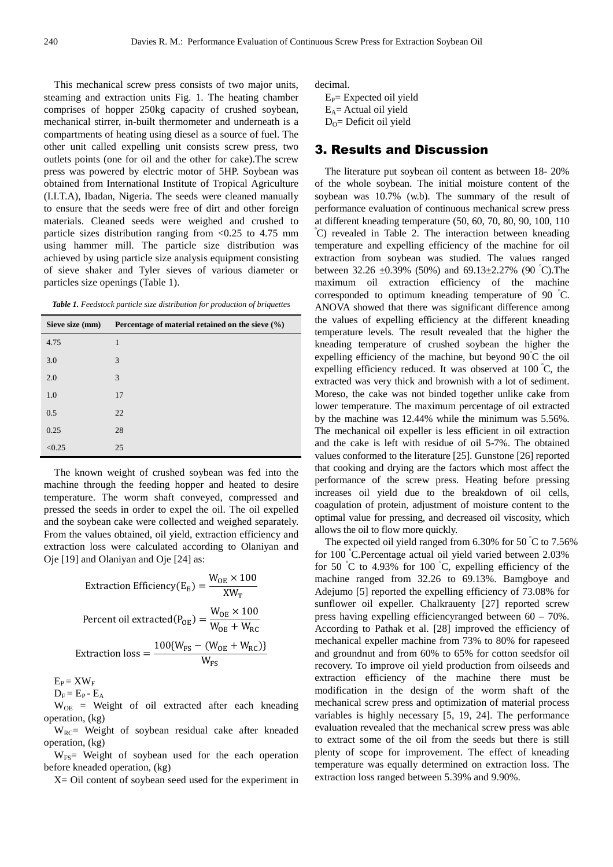This mechanical screw press consists of two major units, steaming and extraction units Fig. 1. The heating chamber comprises of hopper 250kg capacity of crushed soybean, mechanical stirrer, in-built thermometer and underneath is a compartments of heating using diesel as a source of fuel. The other unit called expelling unit consists screw press, two outlets points (one for oil and the other for cake).The screw press was powered by electric motor of 5HP. Soybean was obtained from International Institute of Tropical Agriculture (I.I.T.A), Ibadan, Nigeria. The seeds were cleaned manually to ensure that the seeds were free of dirt and other foreign materials. Cleaned seeds were weighed and crushed to particle sizes distribution ranging from <0.25 to 4.75 mm using hammer mill. The particle size distribution was achieved by using particle size analysis equipment consisting of sieve shaker and Tyler sieves of various diameter or particles size openings (Table 1).

*Table 1. Feedstock particle size distribution for production of briquettes* 

| Sieve size (mm) | Percentage of material retained on the sieve $(\%)$ |  |  |  |  |
|-----------------|-----------------------------------------------------|--|--|--|--|
| 4.75            | 1                                                   |  |  |  |  |
| 3.0             | 3                                                   |  |  |  |  |
| 2.0             | 3                                                   |  |  |  |  |
| 1.0             | 17                                                  |  |  |  |  |
| 0.5             | 22                                                  |  |  |  |  |
| 0.25            | 28                                                  |  |  |  |  |
| < 0.25          | 25                                                  |  |  |  |  |

The known weight of crushed soybean was fed into the machine through the feeding hopper and heated to desire temperature. The worm shaft conveyed, compressed and pressed the seeds in order to expel the oil. The oil expelled and the soybean cake were collected and weighed separately. From the values obtained, oil yield, extraction efficiency and extraction loss were calculated according to Olaniyan and Oje [19] and Olaniyan and Oje [24] as:

Extraction Efficiency(E<sub>E</sub>) = 
$$
\frac{W_{OE} \times 100}{XW_{T}}
$$

\nPercent oil extracted(P<sub>OE</sub>) = 
$$
\frac{W_{OE} \times 100}{W_{OE} + W_{RC}}
$$

\nExtraction loss = 
$$
\frac{100\{W_{FS} - (W_{OE} + W_{RC})\}}{W_{FS}}
$$

 $E_P = XW_F$ 

 $D_F = E_P - E_A$ 

 $W<sub>OE</sub>$  = Weight of oil extracted after each kneading operation, (kg)

 $W_{RC}$  Weight of soybean residual cake after kneaded operation, (kg)

 $W<sub>FS</sub>$  Weight of soybean used for the each operation before kneaded operation, (kg)

X= Oil content of soybean seed used for the experiment in

decimal.

| $E_P$ Expected oil yield  |
|---------------------------|
| $E_A$ = Actual oil yield  |
| $D_0$ = Deficit oil yield |

#### 3. Results and Discussion

The literature put soybean oil content as between 18- 20% of the whole soybean. The initial moisture content of the soybean was 10.7% (w.b). The summary of the result of performance evaluation of continuous mechanical screw press at different kneading temperature (50, 60, 70, 80, 90, 100, 110 <sup>º</sup>C) revealed in Table 2. The interaction between kneading temperature and expelling efficiency of the machine for oil extraction from soybean was studied. The values ranged between 32.26  $\pm 0.39\%$  (50%) and 69.13 $\pm 2.27\%$  (90 °C). The maximum oil extraction efficiency of the machine corresponded to optimum kneading temperature of 90 <sup>º</sup>C. ANOVA showed that there was significant difference among the values of expelling efficiency at the different kneading temperature levels. The result revealed that the higher the kneading temperature of crushed soybean the higher the expelling efficiency of the machine, but beyond  $90^{\circ}$ C the oil expelling efficiency reduced. It was observed at  $100\degree C$ , the extracted was very thick and brownish with a lot of sediment. Moreso, the cake was not binded together unlike cake from lower temperature. The maximum percentage of oil extracted by the machine was 12.44% while the minimum was 5.56%. The mechanical oil expeller is less efficient in oil extraction and the cake is left with residue of oil 5-7%. The obtained values conformed to the literature [25]. Gunstone [26] reported that cooking and drying are the factors which most affect the performance of the screw press. Heating before pressing increases oil yield due to the breakdown of oil cells, coagulation of protein, adjustment of moisture content to the optimal value for pressing, and decreased oil viscosity, which allows the oil to flow more quickly.

The expected oil yield ranged from  $6.30\%$  for  $50\degree$ C to  $7.56\%$ for 100 <sup>º</sup>C.Percentage actual oil yield varied between 2.03% for 50  $\degree$ C to 4.93% for 100  $\degree$ C, expelling efficiency of the machine ranged from 32.26 to 69.13%. Bamgboye and Adejumo [5] reported the expelling efficiency of 73.08% for sunflower oil expeller. Chalkrauenty [27] reported screw press having expelling efficiencyranged between 60 – 70%. According to Pathak et al. [28] improved the efficiency of mechanical expeller machine from 73% to 80% for rapeseed and groundnut and from 60% to 65% for cotton seedsfor oil recovery. To improve oil yield production from oilseeds and extraction efficiency of the machine there must be modification in the design of the worm shaft of the mechanical screw press and optimization of material process variables is highly necessary [5, 19, 24]. The performance evaluation revealed that the mechanical screw press was able to extract some of the oil from the seeds but there is still plenty of scope for improvement. The effect of kneading temperature was equally determined on extraction loss. The extraction loss ranged between 5.39% and 9.90%.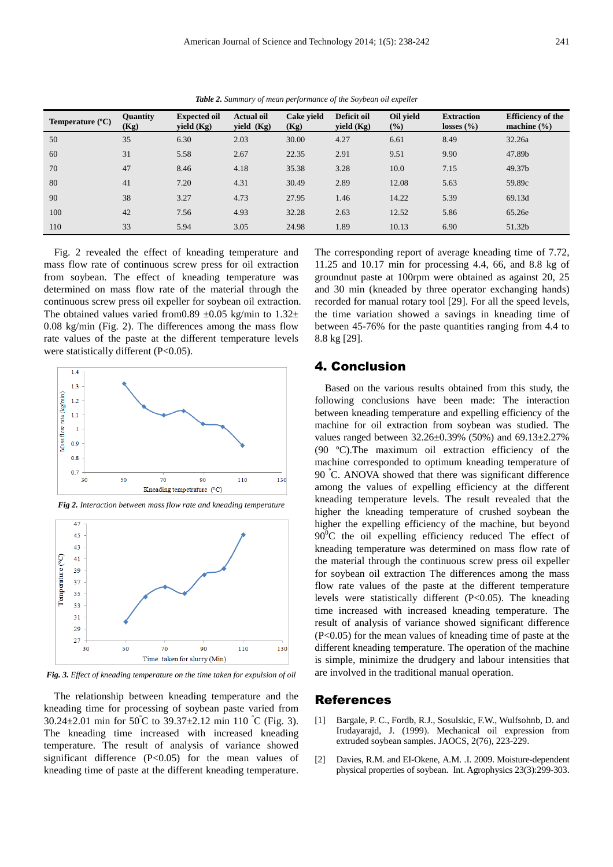| Temperature $(^{\circ}C)$ | <b>Quantity</b><br>(Kg) | <b>Expected oil</b><br>yield $(Kg)$ | <b>Actual oil</b><br>yield $(Kg)$ | Cake vield<br>(Kg) | Deficit oil<br>yield (Kg) | Oil vield<br>$(\%)$ | <b>Extraction</b><br>losses $(\% )$ | <b>Efficiency of the</b><br>machine $(\% )$ |
|---------------------------|-------------------------|-------------------------------------|-----------------------------------|--------------------|---------------------------|---------------------|-------------------------------------|---------------------------------------------|
| 50                        | 35                      | 6.30                                | 2.03                              | 30.00              | 4.27                      | 6.61                | 8.49                                | 32.26a                                      |
| 60                        | 31                      | 5.58                                | 2.67                              | 22.35              | 2.91                      | 9.51                | 9.90                                | 47.89b                                      |
| 70                        | 47                      | 8.46                                | 4.18                              | 35.38              | 3.28                      | 10.0                | 7.15                                | 49.37b                                      |
| 80                        | 41                      | 7.20                                | 4.31                              | 30.49              | 2.89                      | 12.08               | 5.63                                | 59.89c                                      |
| 90                        | 38                      | 3.27                                | 4.73                              | 27.95              | 1.46                      | 14.22               | 5.39                                | 69.13d                                      |
| 100                       | 42                      | 7.56                                | 4.93                              | 32.28              | 2.63                      | 12.52               | 5.86                                | 65.26e                                      |
| 110                       | 33                      | 5.94                                | 3.05                              | 24.98              | 1.89                      | 10.13               | 6.90                                | 51.32b                                      |

*Table 2. Summary of mean performance of the Soybean oil expeller* 

Fig. 2 revealed the effect of kneading temperature and mass flow rate of continuous screw press for oil extraction from soybean. The effect of kneading temperature was determined on mass flow rate of the material through the continuous screw press oil expeller for soybean oil extraction. The obtained values varied from0.89  $\pm$ 0.05 kg/min to 1.32 $\pm$ 0.08 kg/min (Fig. 2). The differences among the mass flow rate values of the paste at the different temperature levels were statistically different (P<0.05).



 $\overline{47}$ 



*Fig. 3. Effect of kneading temperature on the time taken for expulsion of oil* 

The relationship between kneading temperature and the kneading time for processing of soybean paste varied from 30.24 $\pm$ 2.01 min for 50°C to 39.37 $\pm$ 2.12 min 110°C (Fig. 3). The kneading time increased with increased kneading temperature. The result of analysis of variance showed significant difference (P<0.05) for the mean values of kneading time of paste at the different kneading temperature.

The corresponding report of average kneading time of 7.72, 11.25 and 10.17 min for processing 4.4, 66, and 8.8 kg of groundnut paste at 100rpm were obtained as against 20, 25 and 30 min (kneaded by three operator exchanging hands) recorded for manual rotary tool [29]. For all the speed levels, the time variation showed a savings in kneading time of between 45-76% for the paste quantities ranging from 4.4 to 8.8 kg [29].

### 4. Conclusion

Based on the various results obtained from this study, the following conclusions have been made: The interaction between kneading temperature and expelling efficiency of the machine for oil extraction from soybean was studied. The values ranged between 32.26±0.39% (50%) and 69.13±2.27% (90 ºC).The maximum oil extraction efficiency of the machine corresponded to optimum kneading temperature of 90 <sup>º</sup>C. ANOVA showed that there was significant difference among the values of expelling efficiency at the different kneading temperature levels. The result revealed that the higher the kneading temperature of crushed soybean the higher the expelling efficiency of the machine, but beyond  $90^{\circ}$ C the oil expelling efficiency reduced The effect of kneading temperature was determined on mass flow rate of the material through the continuous screw press oil expeller for soybean oil extraction The differences among the mass flow rate values of the paste at the different temperature levels were statistically different (P<0.05). The kneading time increased with increased kneading temperature. The result of analysis of variance showed significant difference (P<0.05) for the mean values of kneading time of paste at the different kneading temperature. The operation of the machine is simple, minimize the drudgery and labour intensities that are involved in the traditional manual operation.

### References

- [1] Bargale, P. C., Fordb, R.J., Sosulskic, F.W., Wulfsohnb, D. and Irudayarajd, J. (1999). Mechanical oil expression from extruded soybean samples. JAOCS, 2(76), 223-229.
- [2] Davies, R.M. and EI-Okene, A.M. .I. 2009. Moisture-dependent physical properties of soybean. Int. Agrophysics 23(3):299-303.